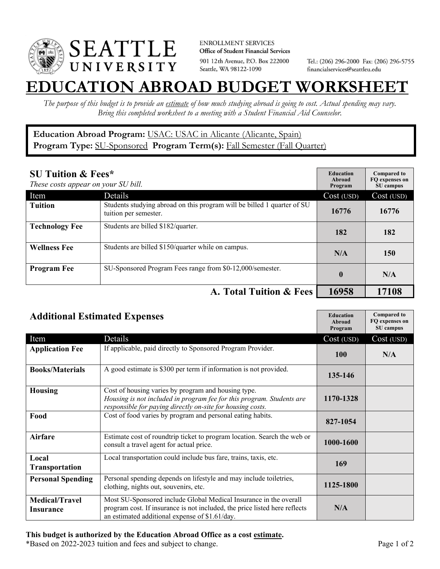

**ENROLLMENT SERVICES** Office of Student Financial Services 901 12th Avenue, P.O. Box 222000 Seattle, WA 98122-1090

Tel.: (206) 296-2000 Fax: (206) 296-5755 financialservices@seattleu.edu

## **EATION ABROAD BUDGET WORKSHEE**

*The purpose of this budget is to provide an estimate of how much studying abroad is going to cost. Actual spending may vary. Bring this completed worksheet to a meeting with a Student Financial Aid Counselor.* 

## **Education Abroad Program:** USAC: USAC in Alicante (Alicante, Spain) Program Type: **SU-Sponsored** Program Term(s): **Fall Semester (Fall Quarter)**

| <b>SU Tuition &amp; Fees*</b><br>These costs appear on your SU bill. |                                                                                                  | <b>Education</b><br>Abroad<br>Program | <b>Compared to</b><br>FO expenses on<br>SU campus |
|----------------------------------------------------------------------|--------------------------------------------------------------------------------------------------|---------------------------------------|---------------------------------------------------|
| Item                                                                 | Details                                                                                          | Cost (USD)                            | Cost (USD)                                        |
| <b>Tuition</b>                                                       | Students studying abroad on this program will be billed 1 quarter of SU<br>tuition per semester. | 16776                                 | 16776                                             |
| <b>Technology Fee</b>                                                | Students are billed \$182/quarter.                                                               | 182                                   | 182                                               |
| <b>Wellness Fee</b>                                                  | Students are billed \$150/quarter while on campus.                                               | N/A                                   | 150                                               |
| <b>Program Fee</b>                                                   | SU-Sponsored Program Fees range from \$0-12,000/semester.                                        | $\mathbf{0}$                          | N/A                                               |
|                                                                      | A. Total Tuition & Fees                                                                          | 16958                                 | 17108                                             |

| <b>Additional Estimated Expenses</b>      |                                                                                                                                                                                                   | <b>Education</b><br>Abroad<br>Program | <b>Compared to</b><br>FQ expenses on<br>SU campus |
|-------------------------------------------|---------------------------------------------------------------------------------------------------------------------------------------------------------------------------------------------------|---------------------------------------|---------------------------------------------------|
| Item                                      | Details                                                                                                                                                                                           | Cost (USD)                            | Cost (USD)                                        |
| <b>Application Fee</b>                    | If applicable, paid directly to Sponsored Program Provider.                                                                                                                                       | <b>100</b>                            | N/A                                               |
| <b>Books/Materials</b>                    | A good estimate is \$300 per term if information is not provided.                                                                                                                                 | 135-146                               |                                                   |
| <b>Housing</b>                            | Cost of housing varies by program and housing type.<br>Housing is not included in program fee for this program. Students are<br>responsible for paying directly on-site for housing costs.        | 1170-1328                             |                                                   |
| Food                                      | Cost of food varies by program and personal eating habits.                                                                                                                                        | 827-1054                              |                                                   |
| <b>Airfare</b>                            | Estimate cost of roundtrip ticket to program location. Search the web or<br>consult a travel agent for actual price.                                                                              | 1000-1600                             |                                                   |
| Local<br><b>Transportation</b>            | Local transportation could include bus fare, trains, taxis, etc.                                                                                                                                  | 169                                   |                                                   |
| <b>Personal Spending</b>                  | Personal spending depends on lifestyle and may include toiletries,<br>clothing, nights out, souvenirs, etc.                                                                                       | 1125-1800                             |                                                   |
| <b>Medical/Travel</b><br><b>Insurance</b> | Most SU-Sponsored include Global Medical Insurance in the overall<br>program cost. If insurance is not included, the price listed here reflects<br>an estimated additional expense of \$1.61/day. | N/A                                   |                                                   |

## **This budget is authorized by the Education Abroad Office as a cost estimate.**

\*Based on 2022-2023 tuition and fees and subject to change. Page 1 of 2